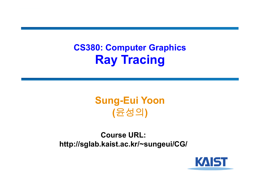## **CS380: Computer Graphics Ray Tracing**

## **Sung-Eui Yoon (**윤성의 **)**

**Course URL: http://sglab.kaist.ac.kr/~sungeui/CG/**

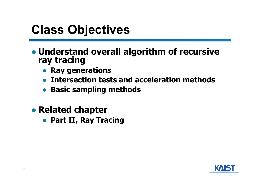# **Class Objectives**

- **Understand overall algorithm of recursive ray tracing**
	- **Ray generations**
	- **Intersection tests and acceleration methods**
	- **Basic sampling methods**
- **Related chapter**
	- **Part II, Ray Tracing**

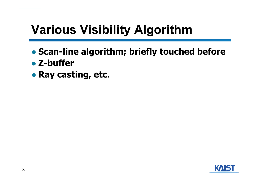# **Various Visibility Algorithm**

- **Scan-line algorithm; briefly touched before**
- **Z-buffer**
- **Ray casting, etc.**

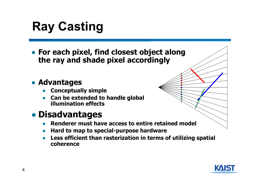# **Ray Casting**

● **For each pixel, find closest object along the ray and shade pixel accordingly**

#### ● **Advantages**

- ●**Conceptually simple**
- ● **Can be extended to handle global illumination effects**

## ● **Disadvantages**

- ●**Renderer must have access to entire retained model**
- $\bullet$ **Hard to map to special-purpose hardware**
- ● **Less efficient than rasterization in terms of utilizing spatial coherence**

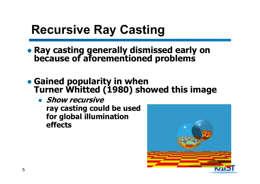# **Recursive Ray Casting**

- **Ray casting generally dismissed early on because of aforementioned problems**
- Gained popularity in when **Turner Whitted (1980) showed this image** 
	- **Show recursive ray casting could be used for global illumination effects**

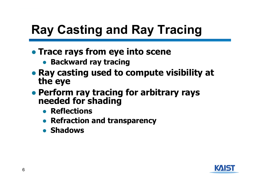# **Ray Casting and Ray Tracing**

- **Trace rays from eye into scene**
	- **Backward ray tracing**
- **Ray casting used to compute visibility at the eye**
- **Perform ray tracing for arbitrary rays needed for shading**
	- **Reflections**
	- **Refraction and transparency**
	- **Shadows**

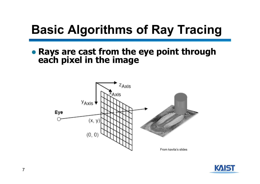# **Basic Algorithms of Ray Tracing**

● **Rays are cast from the eye point through each pixel in the image**



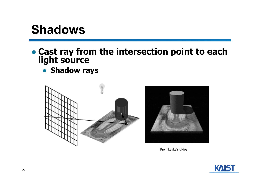## **Shadows**

# ● **Cast ray from the intersection point to each light source**

● **Shadow rays**





From kavita's slides

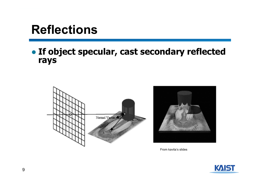## **Reflections**

### ● **If object specular, cast secondary reflected rays**





From kavita's slides

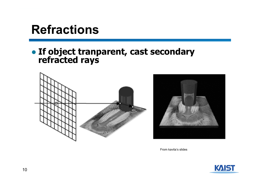## **Refractions**

# ● **If object tranparent, cast secondary refracted rays**





From kavita's slides

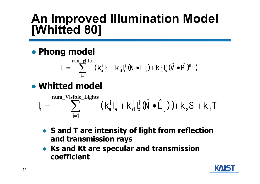# **An Improved Illumination Model [Whitted 80]**

● **Phong model**

$$
I_r = \sum_{j=1}^{\text{numLights}} (k_a^j I_a^j + k_d^j I_d^j (\hat{N} \cdot \hat{L}_j) + k_s^j I_s^j (\hat{V} \cdot \hat{R})^{n_s})
$$

● **Whitted model**

$$
I_{r} = \sum_{j=1}^{\text{num\_Visible\_Lights}} (k_{a}^{j} I_{a}^{j} + k_{d}^{j} I_{d}^{j} (\hat{N} \cdot \hat{L}_{j})) + k_{s} S + k_{t} T
$$

- **S and T are intensity of light from reflection and transmission rays**
- **Ks and Kt are specular and transmission coefficient**

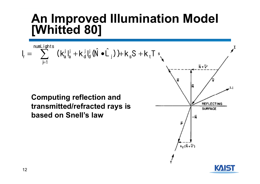# **An Improved Illumination Model [Whitted 80]**



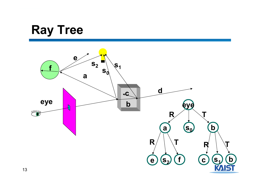# **Ray Tree**

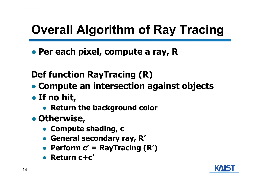# **Overall Algorithm of Ray Tracing**

● **Per each pixel, compute a ray, R**

**Def function RayTracing (R)**

- **Compute an intersection against objects**
- **If no hit,**
	- **Return the background color**
- **Otherwise,**
	- **Compute shading, c**
	- **General secondary ray, R'**
	- **Perform c' = RayTracing (R')**
	- **Return c+c'**

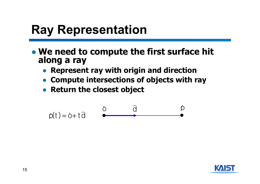# **Ray Representation**

- **We need to compute the first surface hit along a ray**
	- **Represent ray with origin and direction**
	- **Compute intersections of objects with ray**
	- **Return the closest object**

$$
\dot{p}(t) = \dot{o} + t\,\vec{d}
$$

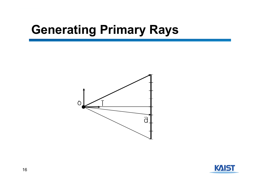# **Generating Primary Rays**



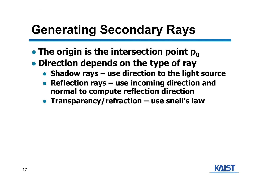# **Generating Secondary Rays**

- **The origin is the intersection point p**<sub>0</sub>
- **Direction depends on the type of ray**
	- ●**Shadow rays – use direction to the light source**
	- ● **Reflection rays – use incoming direction and normal to compute reflection direction**
	- **Transparency/refraction – use snell's law**

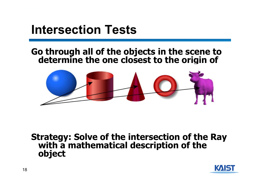## **Intersection Tests**

# Go through all of the objects in the scene to<br>determine the one closest to the origin of



# **Strategy: Solve of the intersection of the Ray with a mathematical description of the object**

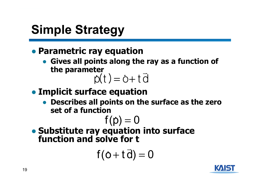# **Simple Strategy**

## **• Parametric ray equation**

● **Gives all points along the ray as a function of the parameter** 

# $\dot{\rho}(t) = \dot{\rho} + t \, \bar{d}$

- **Implicit surface equation**
	- **Describes all points on the surface as the zero set of a function**

$$
f(\rho)=0
$$

● **Substitute ray equation into surface function and solve for t**

$$
f(o+t\,\overline{d})=0
$$

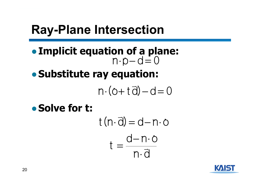# **Ray-Plane Intersection**

- ●**Implicit equation of a plane:** ●**Substitute ray equation:**  $n \cdot p - d = 0$  $n \cdot (o + t \overrightarrow{d}) - d = 0$
- ●**Solve for t:**

$$
t (n \cdot \vec{d}) = d - n \cdot o
$$

$$
t = \frac{d - n \cdot o}{n \cdot \vec{d}}
$$

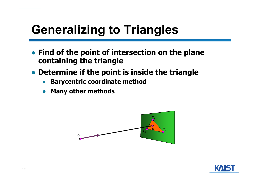# **Generalizing to Triangles**

- **Find of the point of intersection on the plane containing the triangle**
- **Determine if the point is inside the triangle**
	- ●**Barycentric coordinate method**
	- ●**Many other methods**



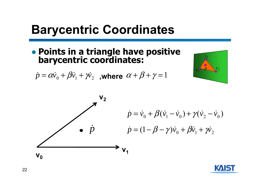# **Barycentric Coordinates**

• **Points in a triangle have positive** 

 $\dot{p} = \alpha \dot{\nu}_{\rm o} + \beta \dot{\nu}_{\rm l} + \gamma \dot{\nu}_{\rm m}$  $\dot{p}=\alpha\dot{\nu}$  $\dot{\nu}_{\rm o}+ \beta\dot{\nu}_{\rm 1}+\dot{\mathcal{W}}_{\rm 2}$  ,where  $\alpha+\beta+\gamma=1$ 





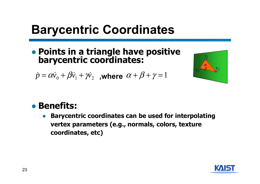# **Barycentric Coordinates**

● **Points in a triangle have positive barycentric coordinates:**

 $\dot{p} = \alpha \dot{\nu}_{\rm o} + \beta \dot{\nu}_{\rm l} + \gamma \dot{\nu}_{\rm m}$  $\dot{p}=\alpha\dot{\nu}$  $\dot{\nu}_{\rm o}+ \beta\dot{\nu}_{\rm 1}+\dot{\mathcal{W}}_{\rm 2}$  ,where  $\alpha+\beta+\gamma=1$ 



### ● **Benefits:**

 $\bullet$  **Barycentric coordinates can be used for interpolating vertex parameters (e.g., normals, colors, texture coordinates, etc)**

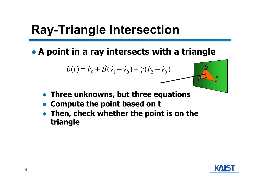# **Ray-Triangle Intersection**

● **A point in a ray intersects with a triangle**

$$
\dot{p}(t) = \dot{v}_0 + \beta(\dot{v}_1 - \dot{v}_0) + \gamma(\dot{v}_2 - \dot{v}_0)
$$

- **Three unknowns, but three equations**
- ●**Compute the point based on t**
- **Then, check whether the point is on the triangle**



*v1*

 $v_2$   $v_3$  $v_3$ <sup>2</sup>  $-2$   $\frac{1}{2}$ <sup>2</sup>  $\frac{1}{3}$ <sup>0--1</sup>

*v*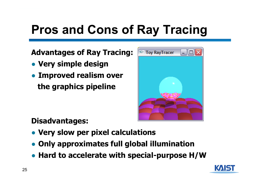# **Pros and Cons of Ray Tracing**

**Advantages of Ray Tracing:** 

- **Very simple design**
- **Improved realism over the graphics pipeline**



### **Disadvantages:**

- **Very slow per pixel calculations**
- **Only approximates full global illumination**
- **Hard to accelerate with special-purpose H/W**

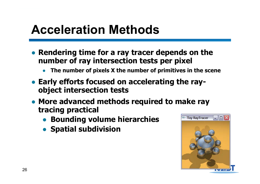# **Acceleration Methods**

- **Rendering time for a ray tracer depends on the number of ray intersection tests per pixel**
	- ●**The number of pixels X the number of primitives in the scene**
- **Early efforts focused on accelerating the rayobject intersection tests**
- **More advanced methods required to make ray tracing practical**
	- **Bounding volume hierarchies**
	- **Spatial subdivision**

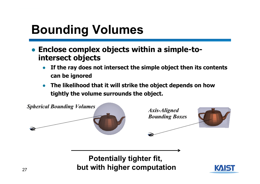# **Bounding Volumes**

- **Enclose complex objects within a simple-tointersect objects**
	- $\bullet$  **If the ray does not intersect the simple object then its contents can be ignored**
	- $\bullet$  **The likelihood that it will strike the object depends on how tightly the volume surrounds the object.**



**Potentially tighter fit, but with higher computation**

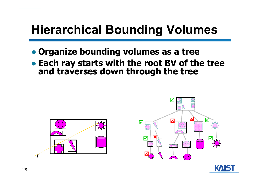# **Hierarchical Bounding Volumes**

- **Organize bounding volumes as a tree**
- Each ray starts with the root BV of the tree and traverses down through the tree





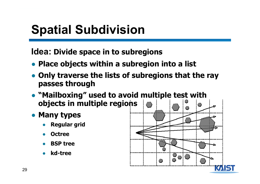# **Spatial Subdivision**

**Idea: Divide space in to subregions** 

- **Place objects within a subregion into a list**
- **Only traverse the lists of subregions that the ray passes through**
- **"Mailboxing" used to avoid multiple test with objects in multiple regions**
- **Many types**
	- ●**Regular grid**
	- ●**Octree**
	- ●**BSP tree**
	- ●**kd-tree**

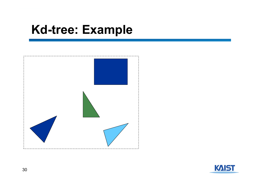

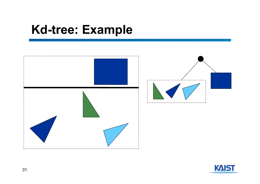

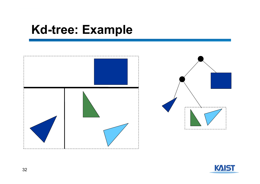

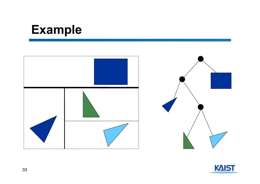# **Example**



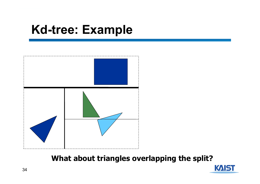

#### **What about triangles overlapping the split?**

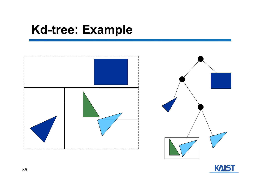

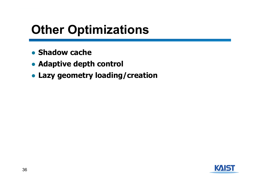# **Other Optimizations**

- **Shadow cache**
- **Adaptive depth control**
- **Lazy geometry loading/creation**

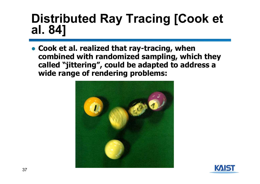# **Distributed Ray Tracing [Cook et al. 84]**

● **Cook et al. realized that ray-tracing, when combined with randomized sampling, which they called "jittering", could be adapted to address a wide range of rendering problems:**



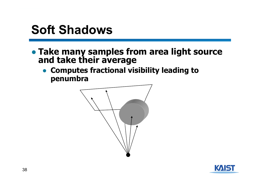# **Soft Shadows**

- **Take many samples from area light source and take their average**
	- **Computes fractional visibility leading to penumbra**



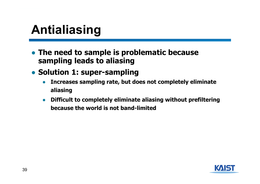# **Antialiasing**

- **The need to sample is problematic because sampling leads to aliasing**
- **Solution 1: super-sampling**
	- $\bullet$  **Increases sampling rate, but does not completely eliminate aliasing**
	- ● **Difficult to completely eliminate aliasing without prefiltering because the world is not band-limited**

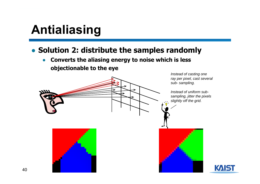# **Antialiasing**

### ● **Solution 2: distribute the samples randomly**

 $\bullet$  **Converts the aliasing energy to noise which is less objectionable to the eye**

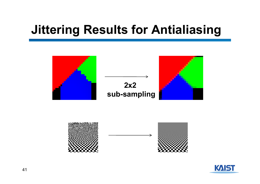# **Jittering Results for Antialiasing**





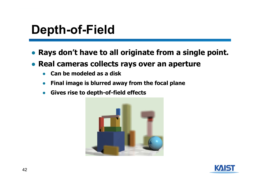# **Depth-of-Field**

- **Rays don't have to all originate from a single point.**
- **Real cameras collects rays over an aperture**
	- ●**Can be modeled as a disk**
	- $\bullet$ **Final image is blurred away from the focal plane**
	- $\bullet$ **Gives rise to depth-of-field effects**



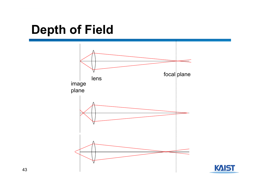# **Depth of Field**



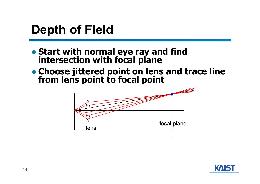# **Depth of Field**

- **Start with normal eye ray and find intersection with focal plane**
- **Choose jittered point on lens and trace line from lens point to focal point**



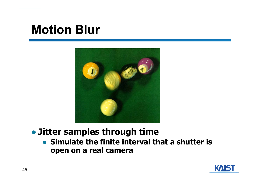# **Motion Blur**



### ● **Jitter samples through time**

● **Simulate the finite interval that a shutter is open on a real camera**

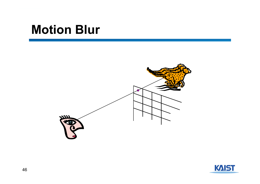# **Motion Blur**



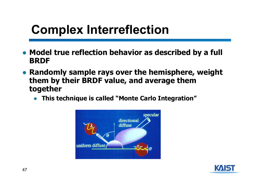# **Complex Interreflection**

- **Model true reflection behavior as described by a full BRDF**
- **Randomly sample rays over the hemisphere, weight them by their BRDF value, and average them together**
	- **This technique is called "Monte Carlo Integration"**